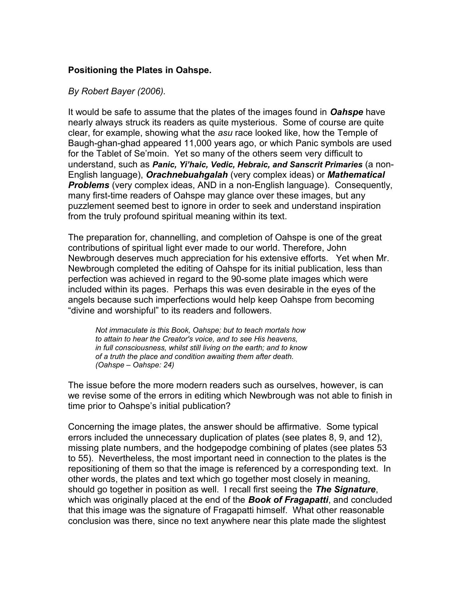#### **Positioning the Plates in Oahspe.**

#### *By Robert Bayer (2006).*

It would be safe to assume that the plates of the images found in *Oahspe* have nearly always struck its readers as quite mysterious. Some of course are quite clear, for example, showing what the *asu* race looked like, how the Temple of Baugh-ghan-ghad appeared 11,000 years ago, or which Panic symbols are used for the Tablet of Se'moin. Yet so many of the others seem very difficult to understand, such as *Panic, Yi'haic, Vedic, Hebraic, and Sanscrit Primaries* (a non-English language), *Orachnebuahgalah* (very complex ideas) or *Mathematical Problems* (very complex ideas, AND in a non-English language). Consequently, many first-time readers of Oahspe may glance over these images, but any puzzlement seemed best to ignore in order to seek and understand inspiration from the truly profound spiritual meaning within its text.

The preparation for, channelling, and completion of Oahspe is one of the great contributions of spiritual light ever made to our world. Therefore, John Newbrough deserves much appreciation for his extensive efforts. Yet when Mr. Newbrough completed the editing of Oahspe for its initial publication, less than perfection was achieved in regard to the 90-some plate images which were included within its pages. Perhaps this was even desirable in the eyes of the angels because such imperfections would help keep Oahspe from becoming "divine and worshipful" to its readers and followers.

*Not immaculate is this Book, Oahspe; but to teach mortals how to attain to hear the Creator's voice, and to see His heavens, in full consciousness, whilst still living on the earth; and to know of a truth the place and condition awaiting them after death. (Oahspe – Oahspe: 24)*

The issue before the more modern readers such as ourselves, however, is can we revise some of the errors in editing which Newbrough was not able to finish in time prior to Oahspe's initial publication?

Concerning the image plates, the answer should be affirmative. Some typical errors included the unnecessary duplication of plates (see plates 8, 9, and 12), missing plate numbers, and the hodgepodge combining of plates (see plates 53 to 55). Nevertheless, the most important need in connection to the plates is the repositioning of them so that the image is referenced by a corresponding text. In other words, the plates and text which go together most closely in meaning, should go together in position as well. I recall first seeing the *The Signature*, which was originally placed at the end of the *Book of Fragapatti*, and concluded that this image was the signature of Fragapatti himself. What other reasonable conclusion was there, since no text anywhere near this plate made the slightest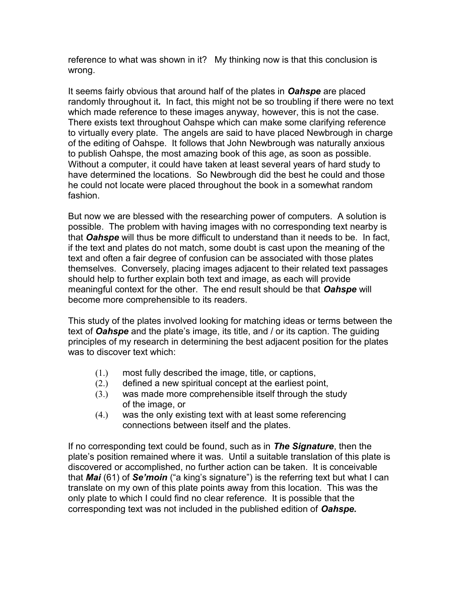reference to what was shown in it? My thinking now is that this conclusion is wrong.

It seems fairly obvious that around half of the plates in *Oahspe* are placed randomly throughout it*.* In fact, this might not be so troubling if there were no text which made reference to these images anyway, however, this is not the case. There exists text throughout Oahspe which can make some clarifying reference to virtually every plate. The angels are said to have placed Newbrough in charge of the editing of Oahspe. It follows that John Newbrough was naturally anxious to publish Oahspe, the most amazing book of this age, as soon as possible. Without a computer, it could have taken at least several years of hard study to have determined the locations. So Newbrough did the best he could and those he could not locate were placed throughout the book in a somewhat random fashion.

But now we are blessed with the researching power of computers. A solution is possible. The problem with having images with no corresponding text nearby is that *Oahspe* will thus be more difficult to understand than it needs to be. In fact, if the text and plates do not match, some doubt is cast upon the meaning of the text and often a fair degree of confusion can be associated with those plates themselves. Conversely, placing images adjacent to their related text passages should help to further explain both text and image, as each will provide meaningful context for the other. The end result should be that *Oahspe* will become more comprehensible to its readers.

This study of the plates involved looking for matching ideas or terms between the text of *Oahspe* and the plate's image, its title, and / or its caption. The guiding principles of my research in determining the best adjacent position for the plates was to discover text which:

- (1.) most fully described the image, title, or captions,
- (2.) defined a new spiritual concept at the earliest point,
- (3.) was made more comprehensible itself through the study of the image, or
- (4.) was the only existing text with at least some referencing connections between itself and the plates.

If no corresponding text could be found, such as in *The Signature*, then the plate's position remained where it was. Until a suitable translation of this plate is discovered or accomplished, no further action can be taken. It is conceivable that *Mai* (61) of *Se'moin* ("a king's signature") is the referring text but what I can translate on my own of this plate points away from this location. This was the only plate to which I could find no clear reference. It is possible that the corresponding text was not included in the published edition of *Oahspe.*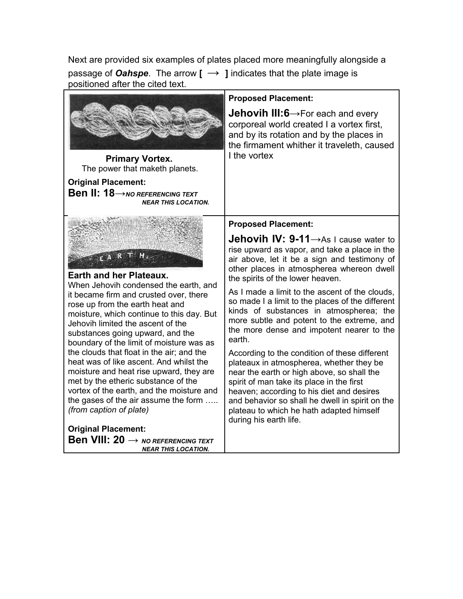Next are provided six examples of plates placed more meaningfully alongside a passage of *Oahspe*. The arrow **[ → ]** indicates that the plate image is positioned after the cited text.

|                                                                                                                                                                                                                                                                                                                                                                                                                                                                                                                                                                                                   | <b>Proposed Placement:</b>                                                                                                                                                                                                                                                                                                                                                                                                                                                                                                                                                                                                                                                                                                                                            |
|---------------------------------------------------------------------------------------------------------------------------------------------------------------------------------------------------------------------------------------------------------------------------------------------------------------------------------------------------------------------------------------------------------------------------------------------------------------------------------------------------------------------------------------------------------------------------------------------------|-----------------------------------------------------------------------------------------------------------------------------------------------------------------------------------------------------------------------------------------------------------------------------------------------------------------------------------------------------------------------------------------------------------------------------------------------------------------------------------------------------------------------------------------------------------------------------------------------------------------------------------------------------------------------------------------------------------------------------------------------------------------------|
| <b>Primary Vortex.</b><br>The power that maketh planets.                                                                                                                                                                                                                                                                                                                                                                                                                                                                                                                                          | <b>Jehovih III:6</b> $\rightarrow$ For each and every<br>corporeal world created I a vortex first,<br>and by its rotation and by the places in<br>the firmament whither it traveleth, caused<br>I the vortex                                                                                                                                                                                                                                                                                                                                                                                                                                                                                                                                                          |
| <b>Original Placement:</b>                                                                                                                                                                                                                                                                                                                                                                                                                                                                                                                                                                        |                                                                                                                                                                                                                                                                                                                                                                                                                                                                                                                                                                                                                                                                                                                                                                       |
| <b>Ben II: 18</b> $\rightarrow$ NO REFERENCING TEXT<br><b>NEAR THIS LOCATION.</b>                                                                                                                                                                                                                                                                                                                                                                                                                                                                                                                 |                                                                                                                                                                                                                                                                                                                                                                                                                                                                                                                                                                                                                                                                                                                                                                       |
|                                                                                                                                                                                                                                                                                                                                                                                                                                                                                                                                                                                                   | <b>Proposed Placement:</b>                                                                                                                                                                                                                                                                                                                                                                                                                                                                                                                                                                                                                                                                                                                                            |
| $FA$ $R$<br><b>Earth and her Plateaux.</b><br>When Jehovih condensed the earth, and<br>it became firm and crusted over, there<br>rose up from the earth heat and<br>moisture, which continue to this day. But<br>Jehovih limited the ascent of the<br>substances going upward, and the<br>boundary of the limit of moisture was as<br>the clouds that float in the air; and the<br>heat was of like ascent. And whilst the<br>moisture and heat rise upward, they are<br>met by the etheric substance of the<br>vortex of the earth, and the moisture and<br>the gases of the air assume the form | Jehovih IV: 9-11->As I cause water to<br>rise upward as vapor, and take a place in the<br>air above, let it be a sign and testimony of<br>other places in atmospherea whereon dwell<br>the spirits of the lower heaven.<br>As I made a limit to the ascent of the clouds,<br>so made I a limit to the places of the different<br>kinds of substances in atmospherea; the<br>more subtle and potent to the extreme, and<br>the more dense and impotent nearer to the<br>earth.<br>According to the condition of these different<br>plateaux in atmospherea, whether they be<br>near the earth or high above, so shall the<br>spirit of man take its place in the first<br>heaven; according to his diet and desires<br>and behavior so shall he dwell in spirit on the |
| (from caption of plate)                                                                                                                                                                                                                                                                                                                                                                                                                                                                                                                                                                           | plateau to which he hath adapted himself<br>during his earth life.                                                                                                                                                                                                                                                                                                                                                                                                                                                                                                                                                                                                                                                                                                    |
| <b>Original Placement:</b>                                                                                                                                                                                                                                                                                                                                                                                                                                                                                                                                                                        |                                                                                                                                                                                                                                                                                                                                                                                                                                                                                                                                                                                                                                                                                                                                                                       |
| <b>Ben VIII: 20 <math>\rightarrow</math> NO REFERENCING TEXT</b><br><b>NEAR THIS LOCATION.</b>                                                                                                                                                                                                                                                                                                                                                                                                                                                                                                    |                                                                                                                                                                                                                                                                                                                                                                                                                                                                                                                                                                                                                                                                                                                                                                       |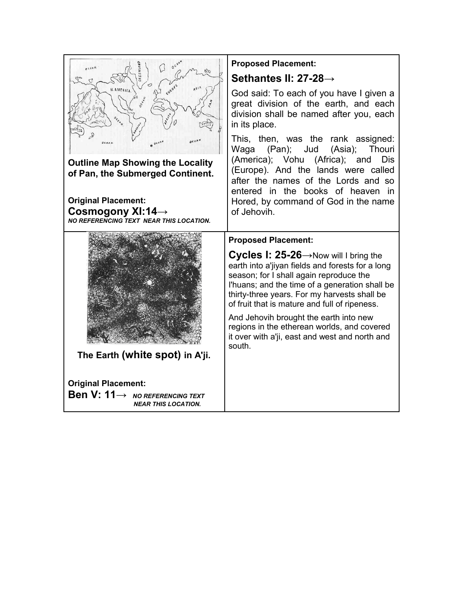| OCEAN.                                                                      | <b>Proposed Placement:</b>                                                                                                                                                                                                                                                                                  |
|-----------------------------------------------------------------------------|-------------------------------------------------------------------------------------------------------------------------------------------------------------------------------------------------------------------------------------------------------------------------------------------------------------|
|                                                                             | Sethantes II: 27-28→                                                                                                                                                                                                                                                                                        |
| N. AMERICA.                                                                 | God said: To each of you have I given a<br>great division of the earth, and each<br>division shall be named after you, each<br>in its place.                                                                                                                                                                |
| $e^{i\alpha x}$                                                             | This, then, was the rank assigned:<br>Waga (Pan); Jud (Asia); Thouri                                                                                                                                                                                                                                        |
| <b>Outline Map Showing the Locality</b><br>of Pan, the Submerged Continent. | (America); Vohu (Africa); and<br><b>Dis</b><br>(Europe). And the lands were called<br>after the names of the Lords and so<br>entered in the books of heaven in                                                                                                                                              |
| <b>Original Placement:</b>                                                  | Hored, by command of God in the name                                                                                                                                                                                                                                                                        |
| Cosmogony XI:14 $\rightarrow$<br>NO REFERENCING TEXT NEAR THIS LOCATION.    | of Jehovih.                                                                                                                                                                                                                                                                                                 |
|                                                                             |                                                                                                                                                                                                                                                                                                             |
|                                                                             | <b>Proposed Placement:</b>                                                                                                                                                                                                                                                                                  |
|                                                                             | <b>Cycles 1: 25-26</b> $\rightarrow$ Now will I bring the<br>earth into a'jiyan fields and forests for a long<br>season; for I shall again reproduce the<br>l'huans; and the time of a generation shall be<br>thirty-three years. For my harvests shall be<br>of fruit that is mature and full of ripeness. |
|                                                                             | And Jehovih brought the earth into new<br>regions in the etherean worlds, and covered<br>it over with a'ji, east and west and north and<br>south.                                                                                                                                                           |
| The Earth (white spot) in A'ji.                                             |                                                                                                                                                                                                                                                                                                             |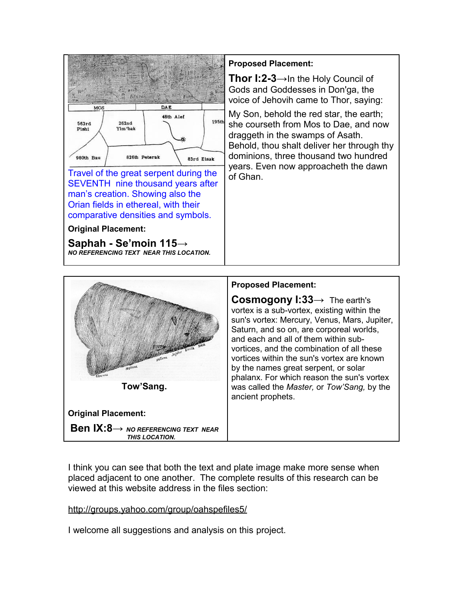

Travel of the great serpent during the SEVENTH nine thousand years after man's creation. Showing also the Orian fields in ethereal, with their comparative densities and symbols.

**Original Placement:**

**Saphah - Se'moin 115→** *NO REFERENCING TEXT NEAR THIS LOCATION.*

## **Proposed Placement:**

**Thor I:2-3→**In the Holy Council of Gods and Goddesses in Don'ga, the voice of Jehovih came to Thor, saying:

My Son, behold the red star, the earth; she courseth from Mos to Dae, and now draggeth in the swamps of Asath. Behold, thou shalt deliver her through thy dominions, three thousand two hundred years. Even now approacheth the dawn of Ghan.



**Original Placement:**

**Ben IX:8→** *NO REFERENCING TEXT NEAR THIS LOCATION.*

## **Proposed Placement:**

**Cosmogony I:33→** The earth's vortex is a sub-vortex, existing within the sun's vortex: Mercury, Venus, Mars, Jupiter, Saturn, and so on, are corporeal worlds, and each and all of them within subvortices, and the combination of all these vortices within the sun's vortex are known by the names great serpent, or solar phalanx. For which reason the sun's vortex was called the *Master,* or *Tow'Sang,* by the ancient prophets.

I think you can see that both the text and plate image make more sense when placed adjacent to one another. The complete results of this research can be viewed at this website address in the files section:

# <http://groups.yahoo.com/group/oahspefiles5/>

I welcome all suggestions and analysis on this project.